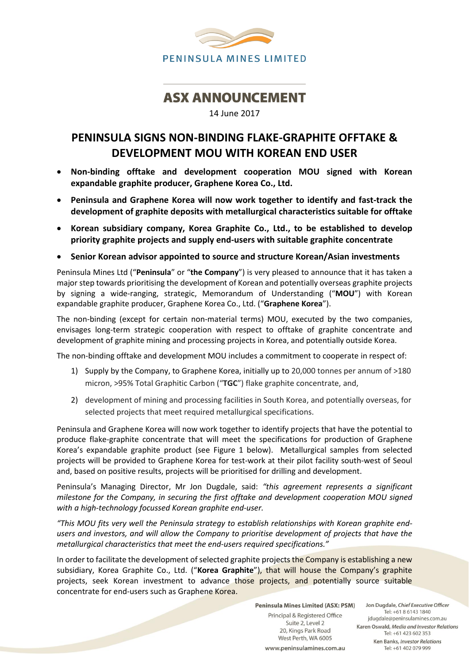

# **ASX ANNOUNCEMENT**

### 14 June 2017

## **PENINSULA SIGNS NON-BINDING FLAKE-GRAPHITE OFFTAKE & DEVELOPMENT MOU WITH KOREAN END USER**

- **Non-binding offtake and development cooperation MOU signed with Korean expandable graphite producer, Graphene Korea Co., Ltd.**
- **Peninsula and Graphene Korea will now work together to identify and fast-track the development of graphite deposits with metallurgical characteristics suitable for offtake**
- **Korean subsidiary company, Korea Graphite Co., Ltd., to be established to develop priority graphite projects and supply end-users with suitable graphite concentrate**
- **Senior Korean advisor appointed to source and structure Korean/Asian investments**

Peninsula Mines Ltd ("**Peninsula**" or "**the Company**") is very pleased to announce that it has taken a major step towards prioritising the development of Korean and potentially overseas graphite projects by signing a wide-ranging, strategic, Memorandum of Understanding ("**MOU**") with Korean expandable graphite producer, Graphene Korea Co., Ltd. ("**Graphene Korea**").

The non-binding (except for certain non-material terms) MOU, executed by the two companies, envisages long-term strategic cooperation with respect to offtake of graphite concentrate and development of graphite mining and processing projects in Korea, and potentially outside Korea.

The non-binding offtake and development MOU includes a commitment to cooperate in respect of:

- 1) Supply by the Company, to Graphene Korea, initially up to 20,000 tonnes per annum of >180 micron, >95% Total Graphitic Carbon ("**TGC**") flake graphite concentrate, and,
- 2) development of mining and processing facilities in South Korea, and potentially overseas, for selected projects that meet required metallurgical specifications.

Peninsula and Graphene Korea will now work together to identify projects that have the potential to produce flake-graphite concentrate that will meet the specifications for production of Graphene Korea's expandable graphite product (see Figure 1 below). Metallurgical samples from selected projects will be provided to Graphene Korea for test-work at their pilot facility south-west of Seoul and, based on positive results, projects will be prioritised for drilling and development.

Peninsula's Managing Director, Mr Jon Dugdale, said: *"this agreement represents a significant milestone for the Company, in securing the first offtake and development cooperation MOU signed with a high-technology focussed Korean graphite end-user.*

*"This MOU fits very well the Peninsula strategy to establish relationships with Korean graphite endusers and investors, and will allow the Company to prioritise development of projects that have the metallurgical characteristics that meet the end-users required specifications."*

In order to facilitate the development of selected graphite projects the Company is establishing a new subsidiary, Korea Graphite Co., Ltd. ("**Korea Graphite**"), that will house the Company's graphite projects, seek Korean investment to advance those projects, and potentially source suitable concentrate for end-users such as Graphene Korea.

> **Peninsula Mines Limited (ASX: PSM)** Principal & Registered Office Suite 2, Level 2 20, Kings Park Road West Perth, WA 6005 www.peninsulamines.com.au

Jon Dugdale, Chief Executive Officer Tel: +61 8 6143 1840 jdugdale@peninsulamines.com.au Karen Oswald, Media and Investor Relations Tel: +61 423 602 353 Ken Banks, Investor Relations Tel: +61 402 079 999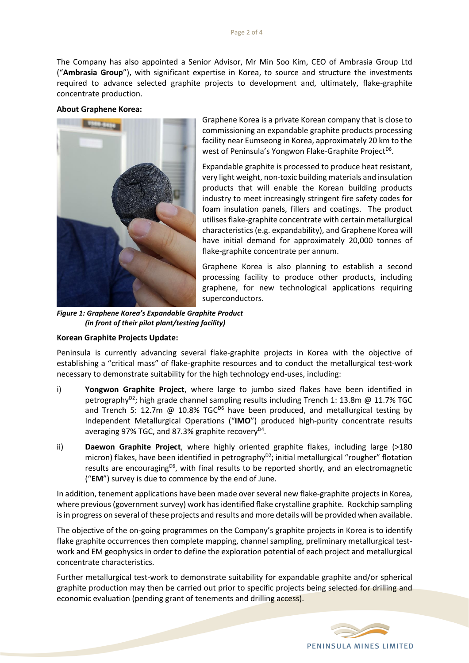The Company has also appointed a Senior Advisor, Mr Min Soo Kim, CEO of Ambrasia Group Ltd ("**Ambrasia Group**"), with significant expertise in Korea, to source and structure the investments required to advance selected graphite projects to development and, ultimately, flake-graphite concentrate production.

**About Graphene Korea:**



Graphene Korea is a private Korean company that is close to commissioning an expandable graphite products processing facility near Eumseong in Korea, approximately 20 km to the west of Peninsula's Yongwon Flake-Graphite Project<sup>D6</sup>.

Expandable graphite is processed to produce heat resistant, very light weight, non-toxic building materials and insulation products that will enable the Korean building products industry to meet increasingly stringent fire safety codes for foam insulation panels, fillers and coatings. The product utilisesflake-graphite concentrate with certain metallurgical characteristics (e.g. expandability), and Graphene Korea will have initial demand for approximately 20,000 tonnes of flake-graphite concentrate per annum.

Graphene Korea is also planning to establish a second processing facility to produce other products, including graphene, for new technological applications requiring superconductors.

*Figure 1: Graphene Korea's Expandable Graphite Product (in front of their pilot plant/testing facility)* 

#### **Korean Graphite Projects Update:**

Peninsula is currently advancing several flake-graphite projects in Korea with the objective of establishing a "critical mass" of flake-graphite resources and to conduct the metallurgical test-work necessary to demonstrate suitability for the high technology end-uses, including:

- i) **Yongwon Graphite Project**, where large to jumbo sized flakes have been identified in petrography<sup>D2</sup>; high grade channel sampling results including Trench 1: 13.8m @ 11.7% TGC and Trench 5: 12.7m @ 10.8% TGC<sup>D6</sup> have been produced, and metallurgical testing by Independent Metallurgical Operations ("**IMO**") produced high-purity concentrate results averaging 97% TGC, and 87.3% graphite recovery<sup>D4</sup>.
- ii) **Daewon Graphite Project**, where highly oriented graphite flakes, including large (>180 micron) flakes, have been identified in petrography<sup>D2</sup>; initial metallurgical "rougher" flotation results are encouraging<sup>D6</sup>, with final results to be reported shortly, and an electromagnetic ("**EM**") survey is due to commence by the end of June.

In addition, tenement applications have been made over several new flake-graphite projects in Korea, where previous (government survey) work has identified flake crystalline graphite. Rockchip sampling is in progress on several of these projects and results and more details will be provided when available.

The objective of the on-going programmes on the Company's graphite projects in Korea is to identify flake graphite occurrences then complete mapping, channel sampling, preliminary metallurgical testwork and EM geophysics in order to define the exploration potential of each project and metallurgical concentrate characteristics.

Further metallurgical test-work to demonstrate suitability for expandable graphite and/or spherical graphite production may then be carried out prior to specific projects being selected for drilling and economic evaluation (pending grant of tenements and drilling access).

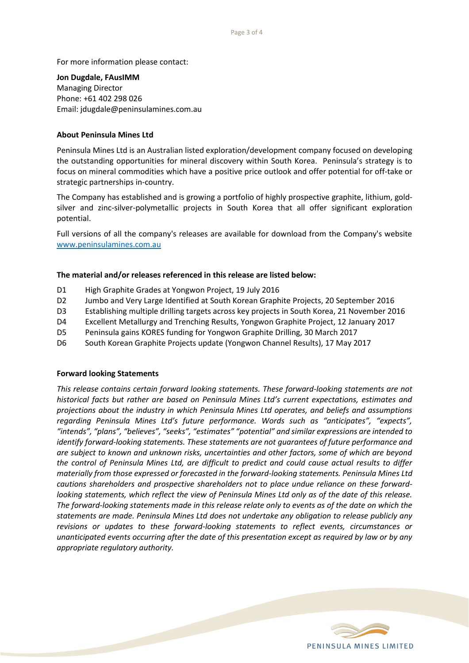For more information please contact:

#### **Jon Dugdale, FAusIMM**

Managing Director Phone: +61 402 298 026 Email: jdugdale@peninsulamines.com.au

#### **About Peninsula Mines Ltd**

Peninsula Mines Ltd is an Australian listed exploration/development company focused on developing the outstanding opportunities for mineral discovery within South Korea. Peninsula's strategy is to focus on mineral commodities which have a positive price outlook and offer potential for off-take or strategic partnerships in-country.

The Company has established and is growing a portfolio of highly prospective graphite, lithium, goldsilver and zinc-silver-polymetallic projects in South Korea that all offer significant exploration potential.

Full versions of all the company's releases are available for download from the Company's website [www.peninsulamines.com.au](http://www.peninsulamines.com.au/)

#### **The material and/or releases referenced in this release are listed below:**

- D1 High Graphite Grades at Yongwon Project, 19 July 2016
- D2 Jumbo and Very Large Identified at South Korean Graphite Projects, 20 September 2016
- D3 Establishing multiple drilling targets across key projects in South Korea, 21 November 2016
- D4 Excellent Metallurgy and Trenching Results, Yongwon Graphite Project, 12 January 2017
- D5 Peninsula gains KORES funding for Yongwon Graphite Drilling, 30 March 2017
- D6 South Korean Graphite Projects update (Yongwon Channel Results), 17 May 2017

#### **Forward looking Statements**

*This release contains certain forward looking statements. These forward-looking statements are not historical facts but rather are based on Peninsula Mines Ltd's current expectations, estimates and projections about the industry in which Peninsula Mines Ltd operates, and beliefs and assumptions regarding Peninsula Mines Ltd's future performance. Words such as "anticipates", "expects", "intends", "plans", "believes", "seeks", "estimates" "potential" and similar expressions are intended to identify forward-looking statements. These statements are not guarantees of future performance and are subject to known and unknown risks, uncertainties and other factors, some of which are beyond the control of Peninsula Mines Ltd, are difficult to predict and could cause actual results to differ materially from those expressed or forecasted in the forward-looking statements. Peninsula Mines Ltd cautions shareholders and prospective shareholders not to place undue reliance on these forwardlooking statements, which reflect the view of Peninsula Mines Ltd only as of the date of this release. The forward-looking statements made in this release relate only to events as of the date on which the statements are made. Peninsula Mines Ltd does not undertake any obligation to release publicly any revisions or updates to these forward-looking statements to reflect events, circumstances or unanticipated events occurring after the date of this presentation except as required by law or by any appropriate regulatory authority.*